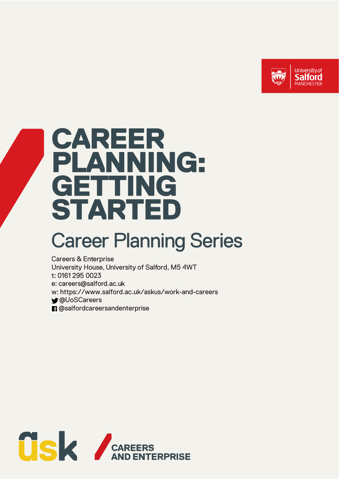

# CAREER PLANNING: GETTING **STARTED**

## **Career Planning Series**

**Careers & Enterprise** University House, University of Salford, M5 4WT t: 0161 295 0023 e: careers@salford.ac.uk w: https://www.salford.ac.uk/askus/work-and-careers **M**@UoSCareers **n** @salfordcareersandenterprise

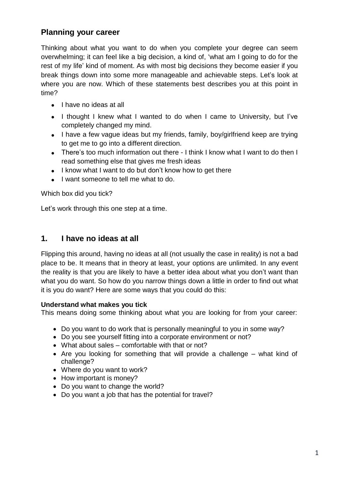## **Planning your career**

Thinking about what you want to do when you complete your degree can seem overwhelming; it can feel like a big decision, a kind of, 'what am I going to do for the rest of my life' kind of moment. As with most big decisions they become easier if you break things down into some more manageable and achievable steps. Let's look at where you are now. Which of these statements best describes you at this point in time?

- $\bullet$  I have no ideas at all
- I thought I knew what I wanted to do when I came to University, but I've completely changed my mind.
- I have a few vague ideas but my friends, family, boy/girlfriend keep are trying to get me to go into a different direction.
- There's too much information out there I think I know what I want to do then I read something else that gives me fresh ideas
- I know what I want to do but don't know how to get there
- I want someone to tell me what to do.

Which box did you tick?

Let's work through this one step at a time.

## **1. I have no ideas at all**

Flipping this around, having no ideas at all (not usually the case in reality) is not a bad place to be. It means that in theory at least, your options are unlimited. In any event the reality is that you are likely to have a better idea about what you don't want than what you do want. So how do you narrow things down a little in order to find out what it is you do want? Here are some ways that you could do this:

#### **Understand what makes you tick**

This means doing some thinking about what you are looking for from your career:

- Do you want to do work that is personally meaningful to you in some way?
- Do you see yourself fitting into a corporate environment or not?
- What about sales comfortable with that or not?
- Are you looking for something that will provide a challenge what kind of challenge?
- Where do you want to work?
- How important is money?
- Do you want to change the world?
- Do you want a job that has the potential for travel?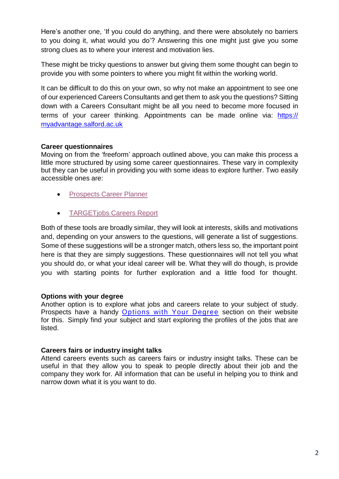Here's another one, 'If you could do anything, and there were absolutely no barriers to you doing it, what would you do'? Answering this one might just give you some strong clues as to where your interest and motivation lies.

These might be tricky questions to answer but giving them some thought can begin to provide you with some pointers to where you might fit within the working world.

It can be difficult to do this on your own, so why not make an appointment to see one of our experienced Careers Consultants and get them to ask you the questions? Sitting down with a Careers Consultant might be all you need to become more focused in terms of your career thinking. Appointments can be made online via: https:// [myadvantage.salford.ac.uk](https://myadvantage.salford.ac.uk/)

## **Career questionnaires**

Moving on from the 'freeform' approach outlined above, you can make this process a little more structured by using some career questionnaires. These vary in complexity but they can be useful in providing you with some ideas to explore further. Two easily accessible ones are:

- Prospects [Career Planner](http://www.prospects.ac.uk/myprospects_planner_login.htm)
- **[TARGETjobs Careers](https://targetjobs.co.uk/careers-report) Report**

Both of these tools are broadly similar, they will look at interests, skills and motivations and, depending on your answers to the questions, will generate a list of suggestions. Some of these suggestions will be a stronger match, others less so, the important point here is that they are simply suggestions. These questionnaires will not tell you what you should do, or what your ideal career will be. What they will do though, is provide you with starting points for further exploration and a little food for thought.

## **Options with your degree**

Another option is to explore what jobs and careers relate to your subject of study. Prospects have a handy [Options with Your Degree](https://www.prospects.ac.uk/careers-advice/what-can-i-do-with-my-degree) section on their website for this. Simply find your subject and start exploring the profiles of the jobs that are listed.

#### **Careers fairs or industry insight talks**

Attend careers events such as careers fairs or industry insight talks. These can be useful in that they allow you to speak to people directly about their job and the company they work for. All information that can be useful in helping you to think and narrow down what it is you want to do.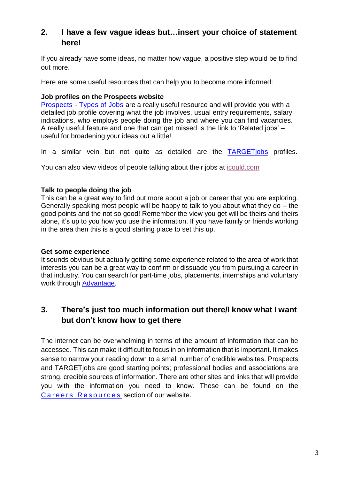## **2. I have a few vague ideas but…insert your choice of statement here!**

If you already have some ideas, no matter how vague, a positive step would be to find out more.

Here are some useful resources that can help you to become more informed:

## **Job profiles on the Prospects website**

Prospects - [Types of Jobs](http://www.prospects.ac.uk/types_of_jobs.htm) are a really useful resource and will provide you with a detailed job profile covering what the job involves, usual entry requirements, salary indications, who employs people doing the job and where you can find vacancies. A really useful feature and one that can get missed is the link to 'Related jobs' – useful for broadening your ideas out a little!

In a similar vein but not quite as detailed are the [TARGETjobs](https://targetjobs.co.uk/careers-advice/job-descriptions) profiles.

You can also view videos of people talking about their jobs at [icould.com](http://icould.com/)

#### **Talk to people doing the job**

This can be a great way to find out more about a job or career that you are exploring. Generally speaking most people will be happy to talk to you about what they do  $-$  the good points and the not so good! Remember the view you get will be theirs and theirs alone, it's up to you how you use the information. If you have family or friends working in the area then this is a good starting place to set this up.

#### **Get some experience**

It sounds obvious but actually getting some experience related to the area of work that interests you can be a great way to confirm or dissuade you from pursuing a career in that industry. You can search for part-time jobs, placements, internships and voluntary work through [Advantage.](https://myadvantage.salford.ac.uk/)

## **3. There's just too much information out there/I know what I want but don't know how to get there**

The internet can be overwhelming in terms of the amount of information that can be accessed. This can make it difficult to focus in on information that is important. It makes sense to narrow your reading down to a small number of credible websites. Prospects and TARGETjobs are good starting points; professional bodies and associations are strong, credible sources of information. There are other sites and links that will provide you with the information you need to know. These can be found on the Careers Resources section of our website.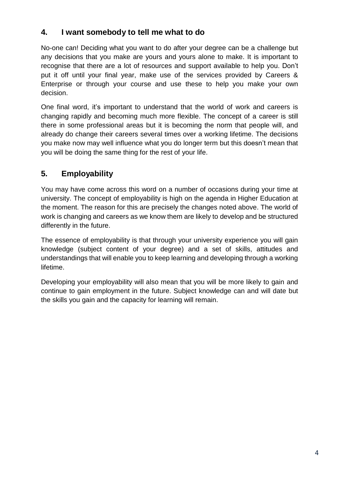## **4. I want somebody to tell me what to do**

No-one can! Deciding what you want to do after your degree can be a challenge but any decisions that you make are yours and yours alone to make. It is important to recognise that there are a lot of resources and support available to help you. Don't put it off until your final year, make use of the services provided by Careers & Enterprise or through your course and use these to help you make your own decision.

One final word, it's important to understand that the world of work and careers is changing rapidly and becoming much more flexible. The concept of a career is still there in some professional areas but it is becoming the norm that people will, and already do change their careers several times over a working lifetime. The decisions you make now may well influence what you do longer term but this doesn't mean that you will be doing the same thing for the rest of your life.

## **5. Employability**

You may have come across this word on a number of occasions during your time at university. The concept of employability is high on the agenda in Higher Education at the moment. The reason for this are precisely the changes noted above. The world of work is changing and careers as we know them are likely to develop and be structured differently in the future.

The essence of employability is that through your university experience you will gain knowledge (subject content of your degree) and a set of skills, attitudes and understandings that will enable you to keep learning and developing through a working lifetime.

Developing your employability will also mean that you will be more likely to gain and continue to gain employment in the future. Subject knowledge can and will date but the skills you gain and the capacity for learning will remain.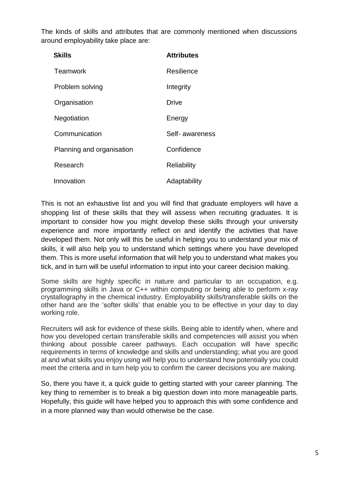The kinds of skills and attributes that are commonly mentioned when discussions around employability take place are:

| <b>Skills</b>             | <b>Attributes</b> |
|---------------------------|-------------------|
| Teamwork                  | Resilience        |
| Problem solving           | Integrity         |
| Organisation              | <b>Drive</b>      |
| Negotiation               | Energy            |
| Communication             | Self- awareness   |
| Planning and organisation | Confidence        |
| Research                  | Reliability       |
| Innovation                | Adaptability      |

This is not an exhaustive list and you will find that graduate employers will have a shopping list of these skills that they will assess when recruiting graduates. It is important to consider how you might develop these skills through your university experience and more importantly reflect on and identify the activities that have developed them. Not only will this be useful in helping you to understand your mix of skills, it will also help you to understand which settings where you have developed them. This is more useful information that will help you to understand what makes you tick, and in turn will be useful information to input into your career decision making.

Some skills are highly specific in nature and particular to an occupation, e.g. programming skills in Java or C++ within computing or being able to perform x-ray crystallography in the chemical industry. Employability skills/transferable skills on the other hand are the 'softer skills' that enable you to be effective in your day to day working role.

Recruiters will ask for evidence of these skills. Being able to identify when, where and how you developed certain transferable skills and competencies will assist you when thinking about possible career pathways. Each occupation will have specific requirements in terms of knowledge and skills and understanding; what you are good at and what skills you enjoy using will help you to understand how potentially you could meet the criteria and in turn help you to confirm the career decisions you are making.

So, there you have it, a quick guide to getting started with your career planning. The key thing to remember is to break a big question down into more manageable parts. Hopefully, this guide will have helped you to approach this with some confidence and in a more planned way than would otherwise be the case.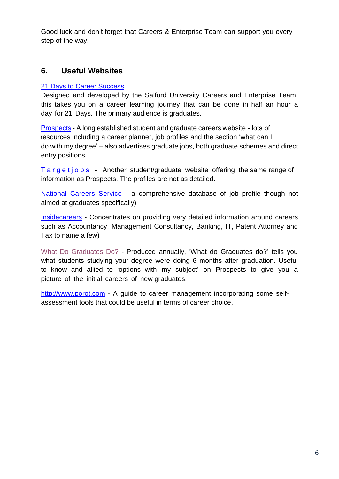Good luck and don't forget that Careers & Enterprise Team can support you every step of the way.

## **6. Useful Websites**

## [21 Days to Career Success](http://blogs.salford.ac.uk/careers-employabilty/21-days-career-success/)

Designed and developed by the Salford University Careers and Enterprise Team, this takes you on a career learning journey that can be done in half an hour a day for 21 Days. The primary audience is graduates.

P[rospects - A long es](http://www.prospects.ac.uk/)tablished student and graduate careers website - lots of resources including a career planner, job profiles and the section 'what can I do with my degree' – also advertises graduate jobs, both graduate schemes and direct entry positions.

 $T$  a r g e t j o b s [- Another stud](http://www.targetjobs.co.uk/)ent/graduate website offering the same range of information as Prospects. The profiles are not as detailed.

[National Careers Service](https://nationalcareersservice.direct.gov.uk/) - a comprehensive database of job profile though not aimed at graduates specifically)

I[nsidecareers - Concentra](http://www.insidecareers.co.uk/)tes on providing very detailed information around careers such as Accountancy, Management Consultancy, Banking, IT, Patent Attorney and Tax to name a few)

[What Do Graduates Do?](https://luminate.prospects.ac.uk/what-do-graduates-do?utm_source=hecsu.ac.uk&utm_medium=referral&utm_campaign=redirect) - Produced annually, 'What do Graduates do?' tells you what students studying your degree were doing 6 months after graduation. Useful to know and allied to 'options with my subject' on Prospects to give you a picture of the initial careers of new graduates.

[http://www.porot.com](http://www.porot.com/en) - A quide to career management incorporating some selfassessment tools that could be useful in terms of career choice.